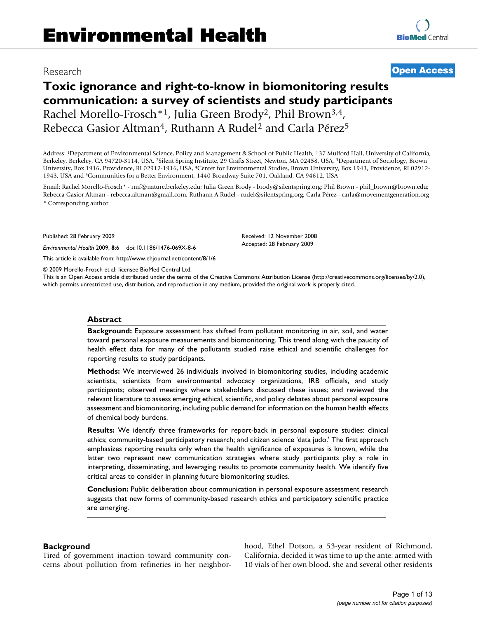# **Toxic ignorance and right-to-know in biomonitoring results communication: a survey of scientists and study participants** Rachel Morello-Frosch\*1, Julia Green Brody2, Phil Brown3,4, Rebecca Gasior Altman<sup>4</sup>, Ruthann A Rudel<sup>2</sup> and Carla Pérez<sup>5</sup>

Address: 1Department of Environmental Science, Policy and Management & School of Public Health, 137 Mulford Hall, University of California, Berkeley, Berkeley, CA 94720-3114, USA, 2Silent Spring Institute, 29 Crafts Street, Newton, MA 02458, USA, 3Department of Sociology, Brown University, Box 1916, Providence, RI 02912-1916, USA, 4Center for Environmental Studies, Brown University, Box 1943, Providence, RI 02912- 1943, USA and 5Communities for a Better Environment, 1440 Broadway Suite 701, Oakland, CA 94612, USA

Email: Rachel Morello-Frosch\* - rmf@nature.berkeley.edu; Julia Green Brody - brody@silentspring.org; Phil Brown - phil\_brown@brown.edu; Rebecca Gasior Altman - rebecca.altman@gmail.com; Ruthann A Rudel - rudel@silentspring.org; Carla Pérez - carla@movementgeneration.org \* Corresponding author

> Received: 12 November 2008 Accepted: 28 February 2009

Published: 28 February 2009

*Environmental Health* 2009, **8**:6 doi:10.1186/1476-069X-8-6

[This article is available from: http://www.ehjournal.net/content/8/1/6](http://www.ehjournal.net/content/8/1/6)

© 2009 Morello-Frosch et al; licensee BioMed Central Ltd.

This is an Open Access article distributed under the terms of the Creative Commons Attribution License [\(http://creativecommons.org/licenses/by/2.0\)](http://creativecommons.org/licenses/by/2.0), which permits unrestricted use, distribution, and reproduction in any medium, provided the original work is properly cited.

#### **Abstract**

**Background:** Exposure assessment has shifted from pollutant monitoring in air, soil, and water toward personal exposure measurements and biomonitoring. This trend along with the paucity of health effect data for many of the pollutants studied raise ethical and scientific challenges for reporting results to study participants.

**Methods:** We interviewed 26 individuals involved in biomonitoring studies, including academic scientists, scientists from environmental advocacy organizations, IRB officials, and study participants; observed meetings where stakeholders discussed these issues; and reviewed the relevant literature to assess emerging ethical, scientific, and policy debates about personal exposure assessment and biomonitoring, including public demand for information on the human health effects of chemical body burdens.

**Results:** We identify three frameworks for report-back in personal exposure studies: clinical ethics; community-based participatory research; and citizen science 'data judo.' The first approach emphasizes reporting results only when the health significance of exposures is known, while the latter two represent new communication strategies where study participants play a role in interpreting, disseminating, and leveraging results to promote community health. We identify five critical areas to consider in planning future biomonitoring studies.

**Conclusion:** Public deliberation about communication in personal exposure assessment research suggests that new forms of community-based research ethics and participatory scientific practice are emerging.

#### **Background**

Tired of government inaction toward community concerns about pollution from refineries in her neighborhood, Ethel Dotson, a 53-year resident of Richmond, California, decided it was time to up the ante: armed with 10 vials of her own blood, she and several other residents

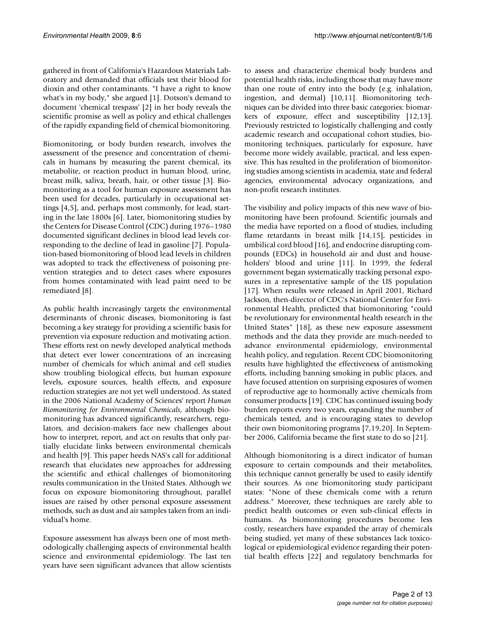gathered in front of California's Hazardous Materials Laboratory and demanded that officials test their blood for dioxin and other contaminants. "I have a right to know what's in my body," she argued [1]. Dotson's demand to document 'chemical trespass' [2] in her body reveals the scientific promise as well as policy and ethical challenges of the rapidly expanding field of chemical biomonitoring.

Biomonitoring, or body burden research, involves the assessment of the presence and concentration of chemicals in humans by measuring the parent chemical, its metabolite, or reaction product in human blood, urine, breast milk, saliva, breath, hair, or other tissue [3]. Biomonitoring as a tool for human exposure assessment has been used for decades, particularly in occupational settings [4,5], and, perhaps most commonly, for lead, starting in the late 1800s [6]. Later, biomonitoring studies by the Centers for Disease Control (CDC) during 1976–1980 documented significant declines in blood lead levels corresponding to the decline of lead in gasoline [7]. Population-based biomonitoring of blood lead levels in children was adopted to track the effectiveness of poisoning prevention strategies and to detect cases where exposures from homes contaminated with lead paint need to be remediated [8].

As public health increasingly targets the environmental determinants of chronic diseases, biomonitoring is fast becoming a key strategy for providing a scientific basis for prevention via exposure reduction and motivating action. These efforts rest on newly developed analytical methods that detect ever lower concentrations of an increasing number of chemicals for which animal and cell studies show troubling biological effects, but human exposure levels, exposure sources, health effects, and exposure reduction strategies are not yet well understood. As stated in the 2006 National Academy of Sciences' report *Human Biomonitoring for Environmental Chemicals*, although biomonitoring has advanced significantly, researchers, regulators, and decision-makers face new challenges about how to interpret, report, and act on results that only partially elucidate links between environmental chemicals and health [9]. This paper heeds NAS's call for additional research that elucidates new approaches for addressing the scientific and ethical challenges of biomonitoring results communication in the United States. Although we focus on exposure biomonitoring throughout, parallel issues are raised by other personal exposure assessment methods, such as dust and air samples taken from an individual's home.

Exposure assessment has always been one of most methodologically challenging aspects of environmental health science and environmental epidemiology. The last ten years have seen significant advances that allow scientists to assess and characterize chemical body burdens and potential health risks, including those that may have more than one route of entry into the body (e.g. inhalation, ingestion, and dermal) [10,11]. Biomonitoring techniques can be divided into three basic categories: biomarkers of exposure, effect and susceptibility [12,13]. Previously restricted to logistically challenging and costly academic research and occupational cohort studies, biomonitoring techniques, particularly for exposure, have become more widely available, practical, and less expensive. This has resulted in the proliferation of biomonitoring studies among scientists in academia, state and federal agencies, environmental advocacy organizations, and non-profit research institutes.

The visibility and policy impacts of this new wave of biomonitoring have been profound. Scientific journals and the media have reported on a flood of studies, including flame retardants in breast milk [14,15], pesticides in umbilical cord blood [16], and endocrine disrupting compounds (EDCs) in household air and dust and householders' blood and urine [11]. In 1999, the federal government began systematically tracking personal exposures in a representative sample of the US population [17]. When results were released in April 2001, Richard Jackson, then-director of CDC's National Center for Environmental Health, predicted that biomonitoring "could be revolutionary for environmental health research in the United States" [18], as these new exposure assessment methods and the data they provide are much-needed to advance environmental epidemiology, environmental health policy, and regulation. Recent CDC biomonitoring results have highlighted the effectiveness of antismoking efforts, including banning smoking in public places, and have focused attention on surprising exposures of women of reproductive age to hormonally active chemicals from consumer products [19]. CDC has continued issuing body burden reports every two years, expanding the number of chemicals tested, and is encouraging states to develop their own biomonitoring programs [7,19,20]. In September 2006, California became the first state to do so [21].

Although biomonitoring is a direct indicator of human exposure to certain compounds and their metabolites, this technique cannot generally be used to easily identify their sources. As one biomonitoring study participant states: "None of these chemicals come with a return address." Moreover, these techniques are rarely able to predict health outcomes or even sub-clinical effects in humans. As biomonitoring procedures become less costly, researchers have expanded the array of chemicals being studied, yet many of these substances lack toxicological or epidemiological evidence regarding their potential health effects [22] and regulatory benchmarks for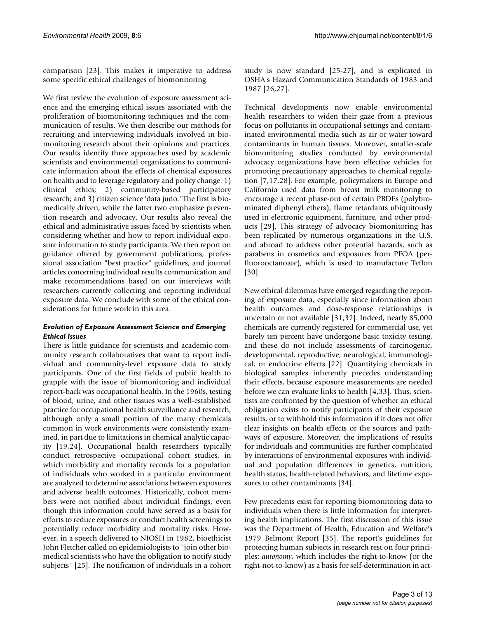comparison [23]. This makes it imperative to address some specific ethical challenges of biomonitoring.

We first review the evolution of exposure assessment science and the emerging ethical issues associated with the proliferation of biomonitoring techniques and the communication of results. We then describe our methods for recruiting and interviewing individuals involved in biomonitoring research about their opinions and practices. Our results identify three approaches used by academic scientists and environmental organizations to communicate information about the effects of chemical exposures on health and to leverage regulatory and policy change: 1) clinical ethics; 2) community-based participatory research; and 3) citizen science 'data judo.' The first is biomedically driven, while the latter two emphasize prevention research and advocacy. Our results also reveal the ethical and administrative issues faced by scientists when considering whether and how to report individual exposure information to study participants. We then report on guidance offered by government publications, professional association "best practice" guidelines, and journal articles concerning individual results communication and make recommendations based on our interviews with researchers currently collecting and reporting individual exposure data. We conclude with some of the ethical considerations for future work in this area.

#### *Evolution of Exposure Assessment Science and Emerging Ethical Issues*

There is little guidance for scientists and academic-community research collaboratives that want to report individual and community-level exposure data to study participants. One of the first fields of public health to grapple with the issue of biomonitoring and individual report-back was occupational health. In the 1960s, testing of blood, urine, and other tissues was a well-established practice for occupational health surveillance and research, although only a small portion of the many chemicals common in work environments were consistently examined, in part due to limitations in chemical analytic capacity [19,24]. Occupational health researchers typically conduct retrospective occupational cohort studies, in which morbidity and mortality records for a population of individuals who worked in a particular environment are analyzed to determine associations between exposures and adverse health outcomes. Historically, cohort members were not notified about individual findings, even though this information could have served as a basis for efforts to reduce exposures or conduct health screenings to potentially reduce morbidity and mortality risks. However, in a speech delivered to NIOSH in 1982, bioethicist John Fletcher called on epidemiologists to "join other biomedical scientists who have the obligation to notify study subjects" [25]. The notification of individuals in a cohort

study is now standard [25-27], and is explicated in OSHA's Hazard Communication Standards of 1983 and 1987 [26,27].

Technical developments now enable environmental health researchers to widen their gaze from a previous focus on pollutants in occupational settings and contaminated environmental media such as air or water toward contaminants in human tissues. Moreover, smaller-scale biomonitoring studies conducted by environmental advocacy organizations have been effective vehicles for promoting precautionary approaches to chemical regulation [7,17,28]. For example, policymakers in Europe and California used data from breast milk monitoring to encourage a recent phase-out of certain PBDEs (polybrominated diphenyl ethers), flame retardants ubiquitously used in electronic equipment, furniture, and other products [29]. This strategy of advocacy biomonitoring has been replicated by numerous organizations in the U.S. and abroad to address other potential hazards, such as parabens in cosmetics and exposures from PFOA (perfluorooctanoate), which is used to manufacture Teflon [30].

New ethical dilemmas have emerged regarding the reporting of exposure data, especially since information about health outcomes and dose-response relationships is uncertain or not available [31,32]. Indeed, nearly 85,000 chemicals are currently registered for commercial use, yet barely ten percent have undergone basic toxicity testing, and these do not include assessments of carcinogenic, developmental, reproductive, neurological, immunological, or endocrine effects [22]. Quantifying chemicals in biological samples inherently precedes understanding their effects, because exposure measurements are needed before we can evaluate links to health [4,33]. Thus, scientists are confronted by the question of whether an ethical obligation exists to notify participants of their exposure results, or to withhold this information if it does not offer clear insights on health effects or the sources and pathways of exposure. Moreover, the implications of results for individuals and communities are further complicated by interactions of environmental exposures with individual and population differences in genetics, nutrition, health status, health-related behaviors, and lifetime exposures to other contaminants [34].

Few precedents exist for reporting biomonitoring data to individuals when there is little information for interpreting health implications. The first discussion of this issue was the Department of Health, Education and Welfare's 1979 Belmont Report [35]. The report's guidelines for protecting human subjects in research rest on four principles: *autonomy*, which includes the right-to-know (or the right-not-to-know) as a basis for self-determination in act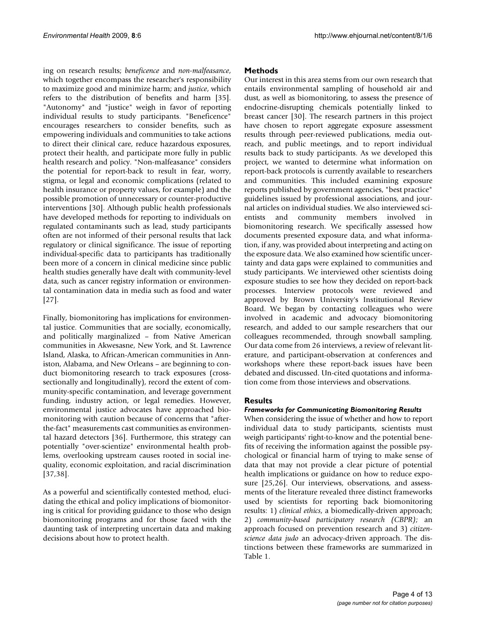ing on research results; *beneficence* and *non-malfeasance*, which together encompass the researcher's responsibility to maximize good and minimize harm; and *justice*, which refers to the distribution of benefits and harm [35]. "Autonomy" and "justice" weigh in favor of reporting individual results to study participants. "Beneficence" encourages researchers to consider benefits, such as empowering individuals and communities to take actions to direct their clinical care, reduce hazardous exposures, protect their health, and participate more fully in public health research and policy. "Non-malfeasance" considers the potential for report-back to result in fear, worry, stigma, or legal and economic complications (related to health insurance or property values, for example) and the possible promotion of unnecessary or counter-productive interventions [30]. Although public health professionals have developed methods for reporting to individuals on regulated contaminants such as lead, study participants often are not informed of their personal results that lack regulatory or clinical significance. The issue of reporting individual-specific data to participants has traditionally been more of a concern in clinical medicine since public health studies generally have dealt with community-level data, such as cancer registry information or environmental contamination data in media such as food and water [27].

Finally, biomonitoring has implications for environmental justice. Communities that are socially, economically, and politically marginalized – from Native American communities in Akwesasne, New York, and St. Lawrence Island, Alaska, to African-American communities in Anniston, Alabama, and New Orleans – are beginning to conduct biomonitoring research to track exposures (crosssectionally and longitudinally), record the extent of community-specific contamination, and leverage government funding, industry action, or legal remedies. However, environmental justice advocates have approached biomonitoring with caution because of concerns that "afterthe-fact" measurements cast communities as environmental hazard detectors [36]. Furthermore, this strategy can potentially "over-scientize" environmental health problems, overlooking upstream causes rooted in social inequality, economic exploitation, and racial discrimination [37,38].

As a powerful and scientifically contested method, elucidating the ethical and policy implications of biomonitoring is critical for providing guidance to those who design biomonitoring programs and for those faced with the daunting task of interpreting uncertain data and making decisions about how to protect health.

## **Methods**

Our interest in this area stems from our own research that entails environmental sampling of household air and dust, as well as biomonitoring, to assess the presence of endocrine-disrupting chemicals potentially linked to breast cancer [30]. The research partners in this project have chosen to report aggregate exposure assessment results through peer-reviewed publications, media outreach, and public meetings, and to report individual results back to study participants. As we developed this project, we wanted to determine what information on report-back protocols is currently available to researchers and communities. This included examining exposure reports published by government agencies, "best practice" guidelines issued by professional associations, and journal articles on individual studies. We also interviewed scientists and community members involved in biomonitoring research. We specifically assessed how documents presented exposure data, and what information, if any, was provided about interpreting and acting on the exposure data. We also examined how scientific uncertainty and data gaps were explained to communities and study participants. We interviewed other scientists doing exposure studies to see how they decided on report-back processes. Interview protocols were reviewed and approved by Brown University's Institutional Review Board. We began by contacting colleagues who were involved in academic and advocacy biomonitoring research, and added to our sample researchers that our colleagues recommended, through snowball sampling. Our data come from 26 interviews, a review of relevant literature, and participant-observation at conferences and workshops where these report-back issues have been debated and discussed. Un-cited quotations and information come from those interviews and observations.

#### **Results**

#### *Frameworks for Communicating Biomonitoring Results*

When considering the issue of whether and how to report individual data to study participants, scientists must weigh participants' right-to-know and the potential benefits of receiving the information against the possible psychological or financial harm of trying to make sense of data that may not provide a clear picture of potential health implications or guidance on how to reduce exposure [25,26]. Our interviews, observations, and assessments of the literature revealed three distinct frameworks used by scientists for reporting back biomonitoring results: 1) *clinical ethics*, a biomedically-driven approach; 2) *community-based participatory research (CBPR);* an approach focused on prevention research and 3) *citizenscience data judo* an advocacy-driven approach. The distinctions between these frameworks are summarized in Table 1.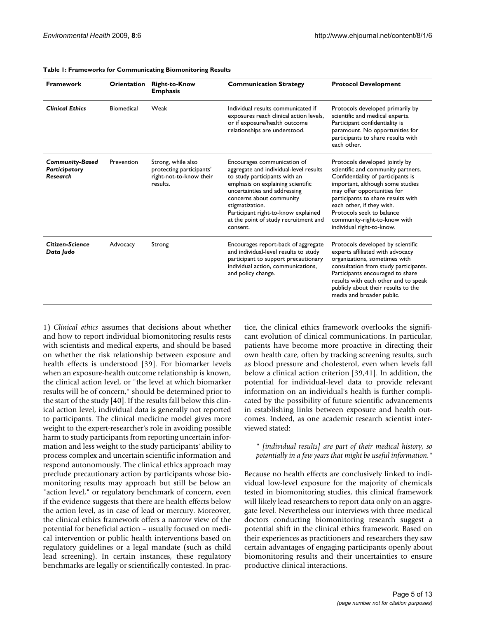| <b>Framework</b>                                           | <b>Orientation</b> | <b>Right-to-Know</b><br><b>Emphasis</b>                                               | <b>Communication Strategy</b>                                                                                                                                                                                                                                                                                          | <b>Protocol Development</b>                                                                                                                                                                                                                                                                                                                |
|------------------------------------------------------------|--------------------|---------------------------------------------------------------------------------------|------------------------------------------------------------------------------------------------------------------------------------------------------------------------------------------------------------------------------------------------------------------------------------------------------------------------|--------------------------------------------------------------------------------------------------------------------------------------------------------------------------------------------------------------------------------------------------------------------------------------------------------------------------------------------|
| <b>Clinical Ethics</b>                                     | <b>Biomedical</b>  | Weak                                                                                  | Individual results communicated if<br>exposures reach clinical action levels,<br>or if exposure/health outcome<br>relationships are understood.                                                                                                                                                                        | Protocols developed primarily by<br>scientific and medical experts.<br>Participant confidentiality is<br>paramount. No opportunities for<br>participants to share results with<br>each other.                                                                                                                                              |
| <b>Community-Based</b><br>Participatory<br><b>Research</b> | Prevention         | Strong, while also<br>protecting participants'<br>right-not-to-know their<br>results. | Encourages communication of<br>aggregate and individual-level results<br>to study participants with an<br>emphasis on explaining scientific<br>uncertainties and addressing<br>concerns about community<br>stigmatization.<br>Participant right-to-know explained<br>at the point of study recruitment and<br>consent. | Protocols developed jointly by<br>scientific and community partners.<br>Confidentiality of participants is<br>important, although some studies<br>may offer opportunities for<br>participants to share results with<br>each other, if they wish.<br>Protocols seek to balance<br>community-right-to-know with<br>individual right-to-know. |
| Citizen-Science<br>Data Judo                               | Advocacy           | Strong                                                                                | Encourages report-back of aggregate<br>and individual-level results to study<br>participant to support precautionary<br>individual action, communications,<br>and policy change.                                                                                                                                       | Protocols developed by scientific<br>experts affiliated with advocacy<br>organizations, sometimes with<br>consultation from study participants.<br>Participants encouraged to share<br>results with each other and to speak<br>publicly about their results to the<br>media and broader public.                                            |

#### **Table 1: Frameworks for Communicating Biomonitoring Results**

1) *Clinical ethics* assumes that decisions about whether and how to report individual biomonitoring results rests with scientists and medical experts, and should be based on whether the risk relationship between exposure and health effects is understood [39]. For biomarker levels when an exposure-health outcome relationship is known, the clinical action level, or "the level at which biomarker results will be of concern," should be determined prior to the start of the study [40]. If the results fall below this clinical action level, individual data is generally not reported to participants. The clinical medicine model gives more weight to the expert-researcher's role in avoiding possible harm to study participants from reporting uncertain information and less weight to the study participants' ability to process complex and uncertain scientific information and respond autonomously. The clinical ethics approach may preclude precautionary action by participants whose biomonitoring results may approach but still be below an "action level," or regulatory benchmark of concern, even if the evidence suggests that there are health effects below the action level, as in case of lead or mercury. Moreover, the clinical ethics framework offers a narrow view of the potential for beneficial action – usually focused on medical intervention or public health interventions based on regulatory guidelines or a legal mandate (such as child lead screening). In certain instances, these regulatory benchmarks are legally or scientifically contested. In practice, the clinical ethics framework overlooks the significant evolution of clinical communications. In particular, patients have become more proactive in directing their own health care, often by tracking screening results, such as blood pressure and cholesterol, even when levels fall below a clinical action criterion [39,41]. In addition, the potential for individual-level data to provide relevant information on an individual's health is further complicated by the possibility of future scientific advancements in establishing links between exposure and health outcomes. Indeed, as one academic research scientist interviewed stated:

#### *" [individual results] are part of their medical history, so potentially in a few years that might be useful information."*

Because no health effects are conclusively linked to individual low-level exposure for the majority of chemicals tested in biomonitoring studies, this clinical framework will likely lead researchers to report data only on an aggregate level. Nevertheless our interviews with three medical doctors conducting biomonitoring research suggest a potential shift in the clinical ethics framework. Based on their experiences as practitioners and researchers they saw certain advantages of engaging participants openly about biomonitoring results and their uncertainties to ensure productive clinical interactions.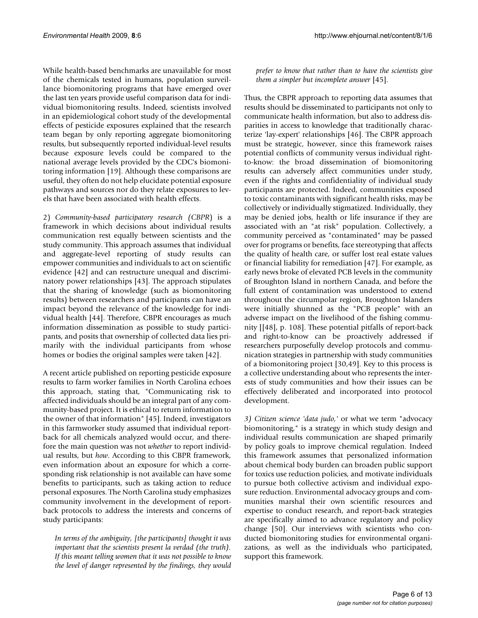While health-based benchmarks are unavailable for most of the chemicals tested in humans, population surveillance biomonitoring programs that have emerged over the last ten years provide useful comparison data for individual biomonitoring results. Indeed, scientists involved in an epidemiological cohort study of the developmental effects of pesticide exposures explained that the research team began by only reporting aggregate biomonitoring results, but subsequently reported individual-level results because exposure levels could be compared to the national average levels provided by the CDC's biomonitoring information [19]. Although these comparisons are useful, they often do not help elucidate potential exposure pathways and sources nor do they relate exposures to levels that have been associated with health effects.

2) *Community-based participatory research (CBPR*) is a framework in which decisions about individual results communication rest equally between scientists and the study community. This approach assumes that individual and aggregate-level reporting of study results can empower communities and individuals to act on scientific evidence [42] and can restructure unequal and discriminatory power relationships [43]. The approach stipulates that the sharing of knowledge (such as biomonitoring results) between researchers and participants can have an impact beyond the relevance of the knowledge for individual health [44]. Therefore, CBPR encourages as much information dissemination as possible to study participants, and posits that ownership of collected data lies primarily with the individual participants from whose homes or bodies the original samples were taken [42].

A recent article published on reporting pesticide exposure results to farm worker families in North Carolina echoes this approach, stating that, "Communicating risk to affected individuals should be an integral part of any community-based project. It is ethical to return information to the owner of that information" [45]. Indeed, investigators in this farmworker study assumed that individual reportback for all chemicals analyzed would occur, and therefore the main question was not *whether* to report individual results, but *how*. According to this CBPR framework, even information about an exposure for which a corresponding risk relationship is not available can have some benefits to participants, such as taking action to reduce personal exposures. The North Carolina study emphasizes community involvement in the development of reportback protocols to address the interests and concerns of study participants:

*In terms of the ambiguity, [the participants] thought it was important that the scientists present la verdad (the truth). If this meant telling women that it was not possible to know the level of danger represented by the findings, they would*

*prefer to know that rather than to have the scientists give them a simpler but incomplete answer* [45].

Thus, the CBPR approach to reporting data assumes that results should be disseminated to participants not only to communicate health information, but also to address disparities in access to knowledge that traditionally characterize 'lay-expert' relationships [46]. The CBPR approach must be strategic, however, since this framework raises potential conflicts of community versus individual rightto-know: the broad dissemination of biomonitoring results can adversely affect communities under study, even if the rights and confidentiality of individual study participants are protected. Indeed, communities exposed to toxic contaminants with significant health risks, may be collectively or individually stigmatized. Individually, they may be denied jobs, health or life insurance if they are associated with an "at risk" population. Collectively, a community perceived as "contaminated" may be passed over for programs or benefits, face stereotyping that affects the quality of health care, or suffer lost real estate values or financial liability for remediation [47]. For example, as early news broke of elevated PCB levels in the community of Broughton Island in northern Canada, and before the full extent of contamination was understood to extend throughout the circumpolar region, Broughton Islanders were initially shunned as the "PCB people" with an adverse impact on the livelihood of the fishing community [[48], p. 108]. These potential pitfalls of report-back and right-to-know can be proactively addressed if researchers purposefully develop protocols and communication strategies in partnership with study communities of a biomonitoring project [30,49]. Key to this process is a collective understanding about who represents the interests of study communities and how their issues can be effectively deliberated and incorporated into protocol development.

*3) Citizen science 'data judo,'* or what we term "advocacy biomonitoring," is a strategy in which study design and individual results communication are shaped primarily by policy goals to improve chemical regulation. Indeed this framework assumes that personalized information about chemical body burden can broaden public support for toxics use reduction policies, and motivate individuals to pursue both collective activism and individual exposure reduction. Environmental advocacy groups and communities marshal their own scientific resources and expertise to conduct research, and report-back strategies are specifically aimed to advance regulatory and policy change [50]. Our interviews with scientists who conducted biomonitoring studies for environmental organizations, as well as the individuals who participated, support this framework.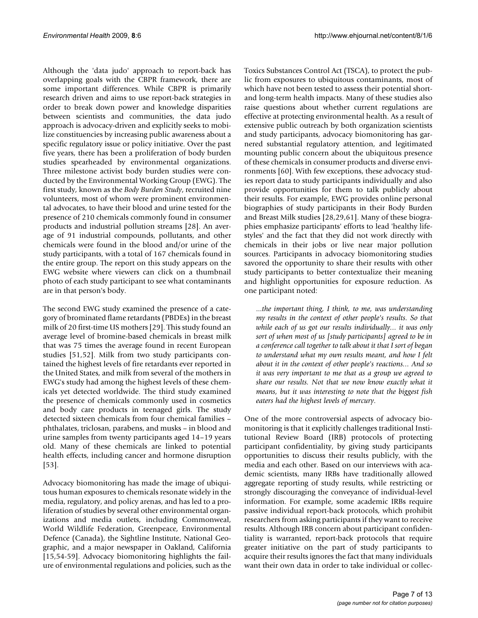Although the 'data judo' approach to report-back has overlapping goals with the CBPR framework, there are some important differences. While CBPR is primarily research driven and aims to use report-back strategies in order to break down power and knowledge disparities between scientists and communities, the data judo approach is advocacy-driven and explicitly seeks to mobilize constituencies by increasing public awareness about a specific regulatory issue or policy initiative. Over the past five years, there has been a proliferation of body burden studies spearheaded by environmental organizations. Three milestone activist body burden studies were conducted by the Environmental Working Group (EWG). The first study, known as the *Body Burden Study*, recruited nine volunteers, most of whom were prominent environmental advocates, to have their blood and urine tested for the presence of 210 chemicals commonly found in consumer products and industrial pollution streams [28]. An average of 91 industrial compounds, pollutants, and other chemicals were found in the blood and/or urine of the study participants, with a total of 167 chemicals found in the entire group. The report on this study appears on the EWG website where viewers can click on a thumbnail photo of each study participant to see what contaminants are in that person's body.

The second EWG study examined the presence of a category of brominated flame retardants (PBDEs) in the breast milk of 20 first-time US mothers [29]. This study found an average level of bromine-based chemicals in breast milk that was 75 times the average found in recent European studies [51,52]. Milk from two study participants contained the highest levels of fire retardants ever reported in the United States, and milk from several of the mothers in EWG's study had among the highest levels of these chemicals yet detected worldwide. The third study examined the presence of chemicals commonly used in cosmetics and body care products in teenaged girls. The study detected sixteen chemicals from four chemical families – phthalates, triclosan, parabens, and musks – in blood and urine samples from twenty participants aged 14–19 years old. Many of these chemicals are linked to potential health effects, including cancer and hormone disruption [53].

Advocacy biomonitoring has made the image of ubiquitous human exposures to chemicals resonate widely in the media, regulatory, and policy arenas, and has led to a proliferation of studies by several other environmental organizations and media outlets, including Commonweal, World Wildlife Federation, Greenpeace, Environmental Defence (Canada), the Sightline Institute, National Geographic, and a major newspaper in Oakland, California [15,54-59]. Advocacy biomonitoring highlights the failure of environmental regulations and policies, such as the Toxics Substances Control Act (TSCA), to protect the public from exposures to ubiquitous contaminants, most of which have not been tested to assess their potential shortand long-term health impacts. Many of these studies also raise questions about whether current regulations are effective at protecting environmental health. As a result of extensive public outreach by both organization scientists and study participants, advocacy biomonitoring has garnered substantial regulatory attention, and legitimated mounting public concern about the ubiquitous presence of these chemicals in consumer products and diverse environments [60]. With few exceptions, these advocacy studies report data to study participants individually and also provide opportunities for them to talk publicly about their results. For example, EWG provides online personal biographies of study participants in their Body Burden and Breast Milk studies [28,29,61]. Many of these biographies emphasize participants' efforts to lead 'healthy lifestyles' and the fact that they did not work directly with chemicals in their jobs or live near major pollution sources. Participants in advocacy biomonitoring studies savored the opportunity to share their results with other study participants to better contextualize their meaning and highlight opportunities for exposure reduction. As one participant noted:

...*the important thing, I think, to me, was understanding my results in the context of other people's results. So that while each of us got our results individually... it was only sort of when most of us [study participants] agreed to be in a conference call together to talk about it that I sort of began to understand what my own results meant, and how I felt about it in the context of other people's reactions... And so it was very important to me that as a group we agreed to share our results. Not that we now know exactly what it means, but it was interesting to note that the biggest fish eaters had the highest levels of mercury*.

One of the more controversial aspects of advocacy biomonitoring is that it explicitly challenges traditional Institutional Review Board (IRB) protocols of protecting participant confidentiality, by giving study participants opportunities to discuss their results publicly, with the media and each other. Based on our interviews with academic scientists, many IRBs have traditionally allowed aggregate reporting of study results, while restricting or strongly discouraging the conveyance of individual-level information. For example, some academic IRBs require passive individual report-back protocols, which prohibit researchers from asking participants if they want to receive results. Although IRB concern about participant confidentiality is warranted, report-back protocols that require greater initiative on the part of study participants to acquire their results ignores the fact that many individuals want their own data in order to take individual or collec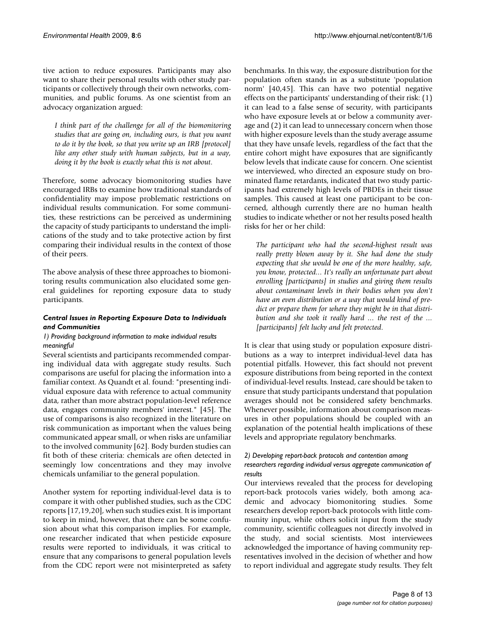tive action to reduce exposures. Participants may also want to share their personal results with other study participants or collectively through their own networks, communities, and public forums. As one scientist from an advocacy organization argued:

*I think part of the challenge for all of the biomonitoring studies that are going on, including ours, is that you want to do it by the book, so that you write up an IRB [protocol] like any other study with human subjects, but in a way, doing it by the book is exactly what this is not about*.

Therefore, some advocacy biomonitoring studies have encouraged IRBs to examine how traditional standards of confidentiality may impose problematic restrictions on individual results communication. For some communities, these restrictions can be perceived as undermining the capacity of study participants to understand the implications of the study and to take protective action by first comparing their individual results in the context of those of their peers.

The above analysis of these three approaches to biomonitoring results communication also elucidated some general guidelines for reporting exposure data to study participants.

## *Central Issues in Reporting Exposure Data to Individuals and Communities*

#### *1) Providing background information to make individual results meaningful*

Several scientists and participants recommended comparing individual data with aggregate study results. Such comparisons are useful for placing the information into a familiar context. As Quandt et al. found: "presenting individual exposure data with reference to actual community data, rather than more abstract population-level reference data, engages community members' interest." [45]. The use of comparisons is also recognized in the literature on risk communication as important when the values being communicated appear small, or when risks are unfamiliar to the involved community [62]. Body burden studies can fit both of these criteria: chemicals are often detected in seemingly low concentrations and they may involve chemicals unfamiliar to the general population.

Another system for reporting individual-level data is to compare it with other published studies, such as the CDC reports [17,19,20], when such studies exist. It is important to keep in mind, however, that there can be some confusion about what this comparison implies. For example, one researcher indicated that when pesticide exposure results were reported to individuals, it was critical to ensure that any comparisons to general population levels from the CDC report were not misinterpreted as safety benchmarks. In this way, the exposure distribution for the population often stands in as a substitute 'population norm' [40,45]. This can have two potential negative effects on the participants' understanding of their risk: (1) it can lead to a false sense of security, with participants who have exposure levels at or below a community average and (2) it can lead to unnecessary concern when those with higher exposure levels than the study average assume that they have unsafe levels, regardless of the fact that the entire cohort might have exposures that are significantly below levels that indicate cause for concern. One scientist we interviewed, who directed an exposure study on brominated flame retardants, indicated that two study participants had extremely high levels of PBDEs in their tissue samples. This caused at least one participant to be concerned, although currently there are no human health studies to indicate whether or not her results posed health risks for her or her child:

*The participant who had the second-highest result was really pretty blown away by it. She had done the study expecting that she would be one of the more healthy, safe, you know, protected... It's really an unfortunate part about enrolling [participants] in studies and giving them results about contaminant levels in their bodies when you don't have an even distribution or a way that would kind of predict or prepare them for where they might be in that distribution and she took it really hard ... the rest of the ... [participants] felt lucky and felt protected*.

It is clear that using study or population exposure distributions as a way to interpret individual-level data has potential pitfalls. However, this fact should not prevent exposure distributions from being reported in the context of individual-level results. Instead, care should be taken to ensure that study participants understand that population averages should not be considered safety benchmarks. Whenever possible, information about comparison measures in other populations should be coupled with an explanation of the potential health implications of these levels and appropriate regulatory benchmarks.

#### *2) Developing report-back protocols and contention among researchers regarding individual versus aggregate communication of results*

Our interviews revealed that the process for developing report-back protocols varies widely, both among academic and advocacy biomonitoring studies. Some researchers develop report-back protocols with little community input, while others solicit input from the study community, scientific colleagues not directly involved in the study, and social scientists. Most interviewees acknowledged the importance of having community representatives involved in the decision of whether and how to report individual and aggregate study results. They felt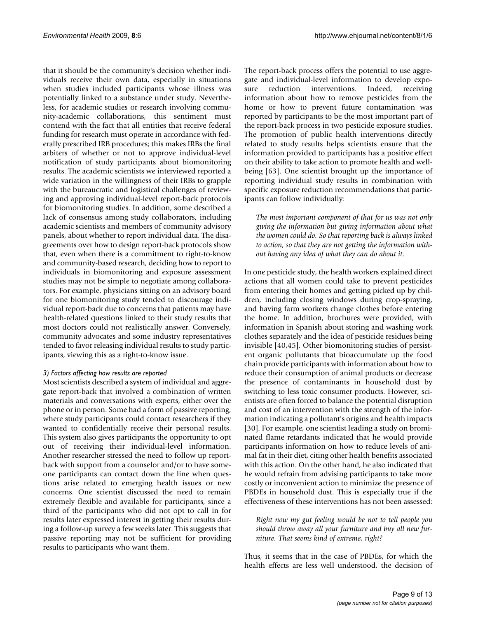that it should be the community's decision whether individuals receive their own data, especially in situations when studies included participants whose illness was potentially linked to a substance under study. Nevertheless, for academic studies or research involving community-academic collaborations, this sentiment must contend with the fact that all entities that receive federal funding for research must operate in accordance with federally prescribed IRB procedures; this makes IRBs the final arbiters of whether or not to approve individual-level notification of study participants about biomonitoring results. The academic scientists we interviewed reported a wide variation in the willingness of their IRBs to grapple with the bureaucratic and logistical challenges of reviewing and approving individual-level report-back protocols for biomonitoring studies. In addition, some described a lack of consensus among study collaborators, including academic scientists and members of community advisory panels, about whether to report individual data. The disagreements over how to design report-back protocols show that, even when there is a commitment to right-to-know and community-based research, deciding how to report to individuals in biomonitoring and exposure assessment studies may not be simple to negotiate among collaborators. For example, physicians sitting on an advisory board for one biomonitoring study tended to discourage individual report-back due to concerns that patients may have health-related questions linked to their study results that most doctors could not realistically answer. Conversely, community advocates and some industry representatives tended to favor releasing individual results to study participants, viewing this as a right-to-know issue.

#### *3) Factors affecting how results are reported*

Most scientists described a system of individual and aggregate report-back that involved a combination of written materials and conversations with experts, either over the phone or in person. Some had a form of passive reporting, where study participants could contact researchers if they wanted to confidentially receive their personal results. This system also gives participants the opportunity to opt out of receiving their individual-level information. Another researcher stressed the need to follow up reportback with support from a counselor and/or to have someone participants can contact down the line when questions arise related to emerging health issues or new concerns. One scientist discussed the need to remain extremely flexible and available for participants, since a third of the participants who did not opt to call in for results later expressed interest in getting their results during a follow-up survey a few weeks later. This suggests that passive reporting may not be sufficient for providing results to participants who want them.

The report-back process offers the potential to use aggregate and individual-level information to develop exposure reduction interventions. Indeed, receiving information about how to remove pesticides from the home or how to prevent future contamination was reported by participants to be the most important part of the report-back process in two pesticide exposure studies. The promotion of public health interventions directly related to study results helps scientists ensure that the information provided to participants has a positive effect on their ability to take action to promote health and wellbeing [63]. One scientist brought up the importance of reporting individual study results in combination with specific exposure reduction recommendations that participants can follow individually:

*The most important component of that for us was not only giving the information but giving information about what the women could do. So that reporting back is always linked to action, so that they are not getting the information without having any idea of what they can do about it*.

In one pesticide study, the health workers explained direct actions that all women could take to prevent pesticides from entering their homes and getting picked up by children, including closing windows during crop-spraying, and having farm workers change clothes before entering the home. In addition, brochures were provided, with information in Spanish about storing and washing work clothes separately and the idea of pesticide residues being invisible [40,45]. Other biomonitoring studies of persistent organic pollutants that bioaccumulate up the food chain provide participants with information about how to reduce their consumption of animal products or decrease the presence of contaminants in household dust by switching to less toxic consumer products. However, scientists are often forced to balance the potential disruption and cost of an intervention with the strength of the information indicating a pollutant's origins and health impacts [30]. For example, one scientist leading a study on brominated flame retardants indicated that he would provide participants information on how to reduce levels of animal fat in their diet, citing other health benefits associated with this action. On the other hand, he also indicated that he would refrain from advising participants to take more costly or inconvenient action to minimize the presence of PBDEs in household dust. This is especially true if the effectiveness of these interventions has not been assessed:

*Right now my gut feeling would be not to tell people you should throw away all your furniture and buy all new furniture. That seems kind of extreme, right?*

Thus, it seems that in the case of PBDEs, for which the health effects are less well understood, the decision of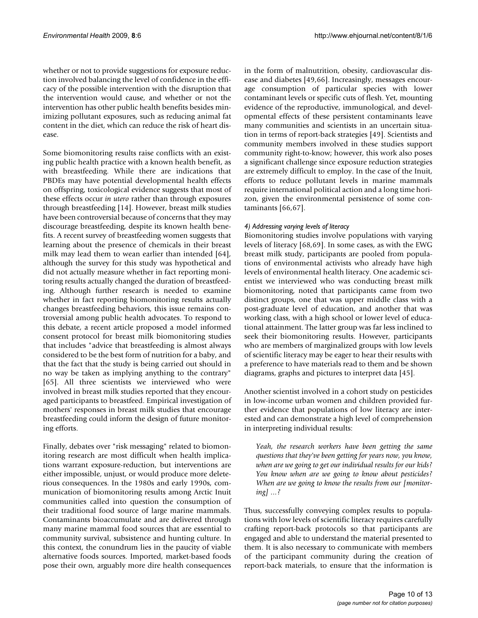whether or not to provide suggestions for exposure reduction involved balancing the level of confidence in the efficacy of the possible intervention with the disruption that the intervention would cause, and whether or not the intervention has other public health benefits besides minimizing pollutant exposures, such as reducing animal fat content in the diet, which can reduce the risk of heart disease.

Some biomonitoring results raise conflicts with an existing public health practice with a known health benefit, as with breastfeeding. While there are indications that PBDEs may have potential developmental health effects on offspring, toxicological evidence suggests that most of these effects occur *in utero* rather than through exposures through breastfeeding [14]. However, breast milk studies have been controversial because of concerns that they may discourage breastfeeding, despite its known health benefits. A recent survey of breastfeeding women suggests that learning about the presence of chemicals in their breast milk may lead them to wean earlier than intended [64], although the survey for this study was hypothetical and did not actually measure whether in fact reporting monitoring results actually changed the duration of breastfeeding. Although further research is needed to examine whether in fact reporting biomonitoring results actually changes breastfeeding behaviors, this issue remains controversial among public health advocates. To respond to this debate, a recent article proposed a model informed consent protocol for breast milk biomonitoring studies that includes "advice that breastfeeding is almost always considered to be the best form of nutrition for a baby, and that the fact that the study is being carried out should in no way be taken as implying anything to the contrary" [65]. All three scientists we interviewed who were involved in breast milk studies reported that they encouraged participants to breastfeed. Empirical investigation of mothers' responses in breast milk studies that encourage breastfeeding could inform the design of future monitoring efforts.

Finally, debates over "risk messaging" related to biomonitoring research are most difficult when health implications warrant exposure-reduction, but interventions are either impossible, unjust, or would produce more deleterious consequences. In the 1980s and early 1990s, communication of biomonitoring results among Arctic Inuit communities called into question the consumption of their traditional food source of large marine mammals. Contaminants bioaccumulate and are delivered through many marine mammal food sources that are essential to community survival, subsistence and hunting culture. In this context, the conundrum lies in the paucity of viable alternative foods sources. Imported, market-based foods pose their own, arguably more dire health consequences in the form of malnutrition, obesity, cardiovascular disease and diabetes [49,66]. Increasingly, messages encourage consumption of particular species with lower contaminant levels or specific cuts of flesh. Yet, mounting evidence of the reproductive, immunological, and developmental effects of these persistent contaminants leave many communities and scientists in an uncertain situation in terms of report-back strategies [49]. Scientists and community members involved in these studies support community right-to-know; however, this work also poses a significant challenge since exposure reduction strategies are extremely difficult to employ. In the case of the Inuit, efforts to reduce pollutant levels in marine mammals require international political action and a long time horizon, given the environmental persistence of some contaminants [66,67].

#### *4) Addressing varying levels of literacy*

Biomonitoring studies involve populations with varying levels of literacy [68,69]. In some cases, as with the EWG breast milk study, participants are pooled from populations of environmental activists who already have high levels of environmental health literacy. One academic scientist we interviewed who was conducting breast milk biomonitoring, noted that participants came from two distinct groups, one that was upper middle class with a post-graduate level of education, and another that was working class, with a high school or lower level of educational attainment. The latter group was far less inclined to seek their biomonitoring results. However, participants who are members of marginalized groups with low levels of scientific literacy may be eager to hear their results with a preference to have materials read to them and be shown diagrams, graphs and pictures to interpret data [45].

Another scientist involved in a cohort study on pesticides in low-income urban women and children provided further evidence that populations of low literacy are interested and can demonstrate a high level of comprehension in interpreting individual results:

*Yeah, the research workers have been getting the same questions that they've been getting for years now, you know, when are we going to get our individual results for our kids? You know when are we going to know about pesticides? When are we going to know the results from our [monitoring] ...?*

Thus, successfully conveying complex results to populations with low levels of scientific literacy requires carefully crafting report-back protocols so that participants are engaged and able to understand the material presented to them. It is also necessary to communicate with members of the participant community during the creation of report-back materials, to ensure that the information is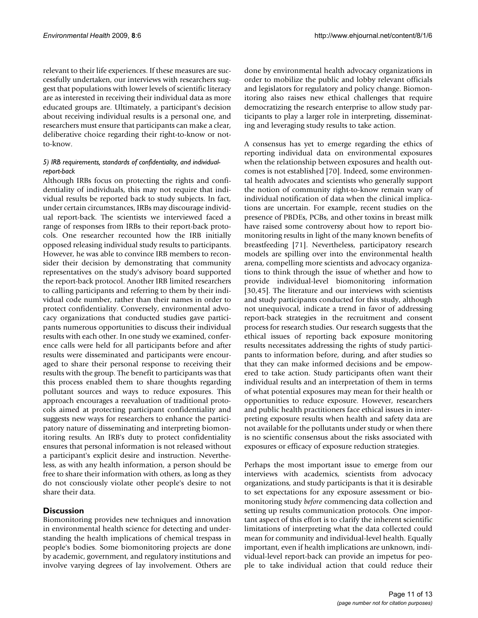relevant to their life experiences. If these measures are successfully undertaken, our interviews with researchers suggest that populations with lower levels of scientific literacy are as interested in receiving their individual data as more educated groups are. Ultimately, a participant's decision about receiving individual results is a personal one, and researchers must ensure that participants can make a clear, deliberative choice regarding their right-to-know or notto-know.

#### *5) IRB requirements, standards of confidentiality, and individualreport-back*

Although IRBs focus on protecting the rights and confidentiality of individuals, this may not require that individual results be reported back to study subjects. In fact, under certain circumstances, IRBs may discourage individual report-back. The scientists we interviewed faced a range of responses from IRBs to their report-back protocols. One researcher recounted how the IRB initially opposed releasing individual study results to participants. However, he was able to convince IRB members to reconsider their decision by demonstrating that community representatives on the study's advisory board supported the report-back protocol. Another IRB limited researchers to calling participants and referring to them by their individual code number, rather than their names in order to protect confidentiality. Conversely, environmental advocacy organizations that conducted studies gave participants numerous opportunities to discuss their individual results with each other. In one study we examined, conference calls were held for all participants before and after results were disseminated and participants were encouraged to share their personal response to receiving their results with the group. The benefit to participants was that this process enabled them to share thoughts regarding pollutant sources and ways to reduce exposures. This approach encourages a reevaluation of traditional protocols aimed at protecting participant confidentiality and suggests new ways for researchers to enhance the participatory nature of disseminating and interpreting biomonitoring results. An IRB's duty to protect confidentiality ensures that personal information is not released without a participant's explicit desire and instruction. Nevertheless, as with any health information, a person should be free to share their information with others, as long as they do not consciously violate other people's desire to not share their data.

# **Discussion**

Biomonitoring provides new techniques and innovation in environmental health science for detecting and understanding the health implications of chemical trespass in people's bodies. Some biomonitoring projects are done by academic, government, and regulatory institutions and involve varying degrees of lay involvement. Others are done by environmental health advocacy organizations in order to mobilize the public and lobby relevant officials and legislators for regulatory and policy change. Biomonitoring also raises new ethical challenges that require democratizing the research enterprise to allow study participants to play a larger role in interpreting, disseminating and leveraging study results to take action.

A consensus has yet to emerge regarding the ethics of reporting individual data on environmental exposures when the relationship between exposures and health outcomes is not established [70]. Indeed, some environmental health advocates and scientists who generally support the notion of community right-to-know remain wary of individual notification of data when the clinical implications are uncertain. For example, recent studies on the presence of PBDEs, PCBs, and other toxins in breast milk have raised some controversy about how to report biomonitoring results in light of the many known benefits of breastfeeding [71]. Nevertheless, participatory research models are spilling over into the environmental health arena, compelling more scientists and advocacy organizations to think through the issue of whether and how to provide individual-level biomonitoring information [30,45]. The literature and our interviews with scientists and study participants conducted for this study, although not unequivocal, indicate a trend in favor of addressing report-back strategies in the recruitment and consent process for research studies. Our research suggests that the ethical issues of reporting back exposure monitoring results necessitates addressing the rights of study participants to information before, during, and after studies so that they can make informed decisions and be empowered to take action. Study participants often want their individual results and an interpretation of them in terms of what potential exposures may mean for their health or opportunities to reduce exposure. However, researchers and public health practitioners face ethical issues in interpreting exposure results when health and safety data are not available for the pollutants under study or when there is no scientific consensus about the risks associated with exposures or efficacy of exposure reduction strategies.

Perhaps the most important issue to emerge from our interviews with academics, scientists from advocacy organizations, and study participants is that it is desirable to set expectations for any exposure assessment or biomonitoring study *before* commencing data collection and setting up results communication protocols. One important aspect of this effort is to clarify the inherent scientific limitations of interpreting what the data collected could mean for community and individual-level health. Equally important, even if health implications are unknown, individual-level report-back can provide an impetus for people to take individual action that could reduce their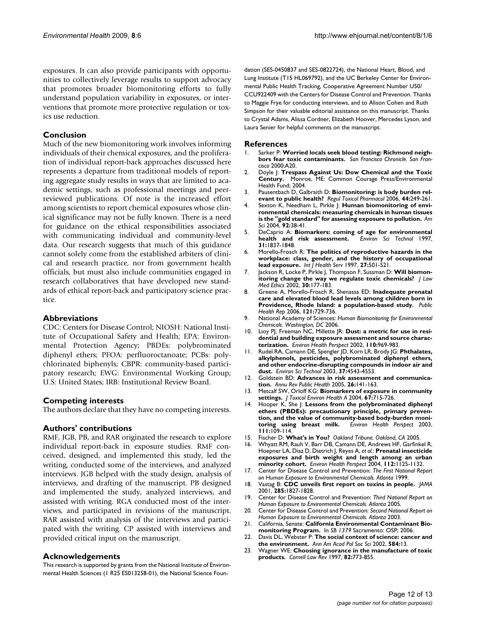exposures. It can also provide participants with opportunities to collectively leverage results to support advocacy that promotes broader biomonitoring efforts to fully understand population variability in exposures, or interventions that promote more protective regulation or toxics use reduction.

#### **Conclusion**

Much of the new biomonitoring work involves informing individuals of their chemical exposures, and the proliferation of individual report-back approaches discussed here represents a departure from traditional models of reporting aggregate study results in ways that are limited to academic settings, such as professional meetings and peerreviewed publications. Of note is the increased effort among scientists to report chemical exposures whose clinical significance may not be fully known. There is a need for guidance on the ethical responsibilities associated with communicating individual and community-level data. Our research suggests that much of this guidance cannot solely come from the established arbiters of clinical and research practice, nor from government health officials, but must also include communities engaged in research collaboratives that have developed new standards of ethical report-back and participatory science practice.

#### **Abbreviations**

CDC: Centers for Disease Control; NIOSH: National Institute of Occupational Safety and Health; EPA: Environmental Protection Agency; PBDEs: polybrominated diphenyl ethers; PFOA: perfluoroctanoate; PCBs: polychlorinated biphenyls; CBPR: community-based participatory research; EWG: Environmental Working Group; U.S: United States; IRB: Institutional Review Board.

#### **Competing interests**

The authors declare that they have no competing interests.

#### **Authors' contributions**

RMF, JGB, PB, and RAR originated the research to explore individual report-back in exposure studies. RMF conceived, designed, and implemented this study, led the writing, conducted some of the interviews, and analyzed interviews. JGB helped with the study design, analysis of interviews, and drafting of the manuscript. PB designed and implemented the study, analyzed interviews, and assisted with writing. RGA conducted most of the interviews, and participated in revisions of the manuscript. RAR assisted with analysis of the interviews and participated with the writing. CP assisted with interviews and provided critical input on the manuscript.

#### **Acknowledgements**

This research is supported by grants from the National Institute of Environmental Health Sciences (1 R25 ES013258-01), the National Science Foundation (SES-0450837 and SES-0822724), the National Heart, Blood, and Lung Institute (T15 HL069792), and the UC Berkeley Center for Environmental Public Health Tracking, Cooperative Agreement Number U50/ CCU922409 with the Centers for Disease Control and Prevention. Thanks to Maggie Frye for conducting interviews, and to Alison Cohen and Ruth Simpson for their valuable editorial assistance on this manuscript. Thanks to Crystal Adams, Alissa Cordner, Elizabeth Hoover, Mercedes Lyson, and Laura Senier for helpful comments on the manuscript.

#### **References**

- 1. Sarker P: **Worried locals seek blood testing: Richmond neighbors fear toxic contaminants.** *San Francisco Chronicle. San Francisco* 2000:A20.
- 2. Doyle J: **Trespass Against Us: Dow Chemical and the Toxic Century.** Monroe, ME: Common Courage Press/Environmental Health Fund; 2004.
- Pausentbach D, Galbraith D: [Biomonitoring: is body burden rel](http://www.ncbi.nlm.nih.gov/entrez/query.fcgi?cmd=Retrieve&db=PubMed&dopt=Abstract&list_uids=16473444)**[evant to public health?](http://www.ncbi.nlm.nih.gov/entrez/query.fcgi?cmd=Retrieve&db=PubMed&dopt=Abstract&list_uids=16473444)** *Regul Toxicol Pharmacol* 2006, **44:**249-261.
- 4. Sexton K, Needham L, Pirkle |: **Human biomonitoring of environmental chemicals: measuring chemicals in human tissues is the "gold standard" for assessing exposure to pollution.** *Am Sci* 2004, **92:**38-41.
- 5. DeCaprio A: **Biomarkers: coming of age for environmental** health and risk assessment. **31:**1837-1848.
- 6. Morello-Frosch R: **[The politics of reproductive hazards in the](http://www.ncbi.nlm.nih.gov/entrez/query.fcgi?cmd=Retrieve&db=PubMed&dopt=Abstract&list_uids=9285279) [workplace: class, gender, and the history of occupational](http://www.ncbi.nlm.nih.gov/entrez/query.fcgi?cmd=Retrieve&db=PubMed&dopt=Abstract&list_uids=9285279) [lead exposure.](http://www.ncbi.nlm.nih.gov/entrez/query.fcgi?cmd=Retrieve&db=PubMed&dopt=Abstract&list_uids=9285279)** *Int J Health Serv* 1997, **27:**501-521.
- 7. Jackson R, Locke P, Pirkle J, Thompson F, Sussman D: **[Will biomon](http://www.ncbi.nlm.nih.gov/entrez/query.fcgi?cmd=Retrieve&db=PubMed&dopt=Abstract&list_uids=12508523)[itoring change the way we regulate toxic chemicals?](http://www.ncbi.nlm.nih.gov/entrez/query.fcgi?cmd=Retrieve&db=PubMed&dopt=Abstract&list_uids=12508523)** *J Law Med Ethics* 2002, **30:**177-183.
- 8. Greene A, Morello-Frosch R, Shenassa ED: **[Inadequate prenatal](http://www.ncbi.nlm.nih.gov/entrez/query.fcgi?cmd=Retrieve&db=PubMed&dopt=Abstract&list_uids=17278408) [care and elevated blood lead levels among children born in](http://www.ncbi.nlm.nih.gov/entrez/query.fcgi?cmd=Retrieve&db=PubMed&dopt=Abstract&list_uids=17278408) [Providence, Rhode Island: a population-based study.](http://www.ncbi.nlm.nih.gov/entrez/query.fcgi?cmd=Retrieve&db=PubMed&dopt=Abstract&list_uids=17278408)** *Public Health Rep* 2006, **121:**729-736.
- 9. National Academy of Sciences: *Human Biomonitoring for Environmental Chemicals. Washington, DC* 2006.
- 10. Lioy PJ, Freeman NC, Millette JR: **[Dust: a metric for use in resi](http://www.ncbi.nlm.nih.gov/entrez/query.fcgi?cmd=Retrieve&db=PubMed&dopt=Abstract&list_uids=12361921)[dential and building exposure assessment and source charac](http://www.ncbi.nlm.nih.gov/entrez/query.fcgi?cmd=Retrieve&db=PubMed&dopt=Abstract&list_uids=12361921)[terization.](http://www.ncbi.nlm.nih.gov/entrez/query.fcgi?cmd=Retrieve&db=PubMed&dopt=Abstract&list_uids=12361921)** *Environ Health Perspect* 2002, **110:**969-983.
- 11. Rudel RA, Camann DE, Spengler JD, Korn LR, Brody JG: **[Phthalates,](http://www.ncbi.nlm.nih.gov/entrez/query.fcgi?cmd=Retrieve&db=PubMed&dopt=Abstract&list_uids=14594359) [alkylphenols, pesticides, polybrominated diphenyl ethers,](http://www.ncbi.nlm.nih.gov/entrez/query.fcgi?cmd=Retrieve&db=PubMed&dopt=Abstract&list_uids=14594359) and other endocrine-disrupting compounds in indoor air and [dust.](http://www.ncbi.nlm.nih.gov/entrez/query.fcgi?cmd=Retrieve&db=PubMed&dopt=Abstract&list_uids=14594359)** *Environ Sci Technol* 2003, **37:**4543-4553.
- 12. Goldstein BD: **[Advances in risk assessment and communica](http://www.ncbi.nlm.nih.gov/entrez/query.fcgi?cmd=Retrieve&db=PubMed&dopt=Abstract&list_uids=15760284)[tion.](http://www.ncbi.nlm.nih.gov/entrez/query.fcgi?cmd=Retrieve&db=PubMed&dopt=Abstract&list_uids=15760284)** *Annu Rev Public Health* 2005, **26:**141-163.
- 13. Metcalf SW, Orloff KG: **[Biomarkers of exposure in community](http://www.ncbi.nlm.nih.gov/entrez/query.fcgi?cmd=Retrieve&db=PubMed&dopt=Abstract&list_uids=15192864) [settings.](http://www.ncbi.nlm.nih.gov/entrez/query.fcgi?cmd=Retrieve&db=PubMed&dopt=Abstract&list_uids=15192864)** *J Toxicol Environ Health A* 2004, **67:**715-726.
- 14. Hooper K, She J: **[Lessons from the polybrominated diphenyl](http://www.ncbi.nlm.nih.gov/entrez/query.fcgi?cmd=Retrieve&db=PubMed&dopt=Abstract&list_uids=12515688) [ethers \(PBDEs\): precautionary principle, primary preven](http://www.ncbi.nlm.nih.gov/entrez/query.fcgi?cmd=Retrieve&db=PubMed&dopt=Abstract&list_uids=12515688)tion, and the value of community-based body-burden moni**[toring using breast milk.](http://www.ncbi.nlm.nih.gov/entrez/query.fcgi?cmd=Retrieve&db=PubMed&dopt=Abstract&list_uids=12515688) **111:**109-114.
- 15. Fischer D: **What's in You?** *Oakland Tribune. Oakland, CA* 2005.
- 16. Whyatt RM, Rauh V, Barr DB, Camann DE, Andrews HF, Garfinkel R, Hoepner LA, Diaz D, Dietrich J, Reyes A, *et al.*: **[Prenatal insecticide](http://www.ncbi.nlm.nih.gov/entrez/query.fcgi?cmd=Retrieve&db=PubMed&dopt=Abstract&list_uids=15238288) [exposures and birth weight and length among an urban](http://www.ncbi.nlm.nih.gov/entrez/query.fcgi?cmd=Retrieve&db=PubMed&dopt=Abstract&list_uids=15238288) [minority cohort.](http://www.ncbi.nlm.nih.gov/entrez/query.fcgi?cmd=Retrieve&db=PubMed&dopt=Abstract&list_uids=15238288)** *Environ Health Perspect* 2004, **112:**1125-1132.
- 17. Center for Disease Control and Prevention: *The First National Report on Human Exposure to Environmental Chemicals. Atlanta* 1999.
- 18. Vastag B: **[CDC unveils first report on toxins in people.](http://www.ncbi.nlm.nih.gov/entrez/query.fcgi?cmd=Retrieve&db=PubMed&dopt=Abstract&list_uids=11308378)** *JAMA* 2001, **285:**1827-1828.
- 19. Center for Disease Control and Prevention: *Third National Report on Human Exposure to Environmental Chemicals. Atlanta* 2005.
- 20. Center for Disease Control and Prevention: *Second National Report on Human Exposure to Environmental Chemicals. Atlanta* 2003.
- 21. California, Senate: **California Environmental Contaminant Biomonitoring Program.** In *SB 1379* Sacramento: OSP; 2006.
- 22. Davis DL, Webster P: **The social context of science: cancer and the environment.** *Ann Am Acad Pol Soc Sci* 2002, **584:**13.
- 23. Wagner WE: **[Choosing ignorance in the manufacture of toxic](http://www.ncbi.nlm.nih.gov/entrez/query.fcgi?cmd=Retrieve&db=PubMed&dopt=Abstract&list_uids=10343054) [products.](http://www.ncbi.nlm.nih.gov/entrez/query.fcgi?cmd=Retrieve&db=PubMed&dopt=Abstract&list_uids=10343054)** *Cornell Law Rev* 1997, **82:**773-855.